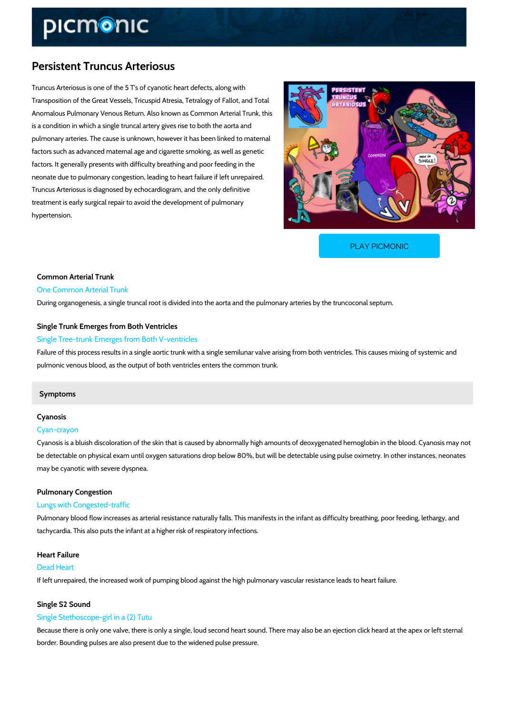## Persistent Truncus Arteriosus

Truncus Arteriosus is one of the 5 T's of cyanotic heart defects, along with Transposition of the Great Vessels, Tricuspid Atresia, Tetralogy of Fallot, and Total Anomalous Pulmonary Venous Return. Also known as Common Arterial Trunk, this is a condition in which a single truncal artery gives rise to both the aorta and pulmonary arteries. The cause is unknown, however it has been linked to maternal factors such as advanced maternal age and cigarette smoking, as well as genetic factors. It generally presents with difficulty breathing and poor feeding in the neonate due to pulmonary congestion, leading to heart failure if left unrepaired. Truncus Arteriosus is diagnosed by echocardiogram, and the only definitive treatment is early surgical repair to avoid the development of pulmonary hypertension.

[PLAY PICMONIC](https://www.picmonic.com/learn/persistent-truncus-arteriosus_2444?utm_source=downloadable_content&utm_medium=distributedcontent&utm_campaign=pathways_pdf&utm_content=Persistent Truncus Arteriosus&utm_ad_group=leads&utm_market=all)

## Common Arterial Trunk One Common Arterial Trunk

During organogenesis, a single truncal root is divided into the aorta and the pulmonary arteri

### Single Trunk Emerges from Both Ventricles

#### Single Tree-trunk Emerges from Both V-ventricles

Failure of this process results in a single aortic trunk with a single semilunar valve arising fr pulmonic venous blood, as the output of both ventricles enters the common trunk.

#### Symptoms

## Cyanosis

### Cyan-crayon

Cyanosis is a bluish discoloration of the skin that is caused by abnormally high amounts of de be detectable on physical exam until oxygen saturations drop below 80%, but will be detectab may be cyanotic with severe dyspnea.

# Pulmonary Congestion

#### Lungs with Congested-traffic

Pulmonary blood flow increases as arterial resistance naturally falls. This manifests in the in tachycardia. This also puts the infant at a higher risk of respiratory infections.

## Heart Failure Dead Heart If left unrepaired, the increased work of pumping blood against the high pulmonary vascular r

#### Single S2 Sound

#### Single Stethoscope-girl in a (2) Tutu

Because there is only one valve, there is only a single, loud second heart sound. There may a border. Bounding pulses are also present due to the widened pulse pressure.